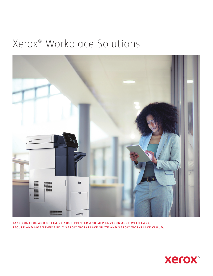# Xerox® Workplace Solutions



TAKE CONTROL AND OPTIMIZE YOUR PRINTER AND MFP ENVIRONMENT WITH EASY, SECURE AND MOBILE-FRIENDLY XEROX<sup>®</sup> WORKPLACE SUITE AND XEROX<sup>®</sup> WORKPLACE CLOUD.

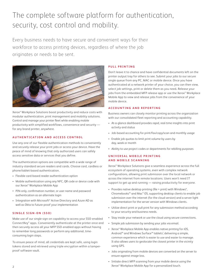# The complete software platform for authentication, security, cost control and mobility.

Every business needs to have secure and convenient ways for their workforce to access printing devices, regardless of where the job originates or needs to be sent.



Xerox® Workplace Solutions boost productivity and reduce costs with modular authentication, print management and mobility solutions. Control and manage your printer fleet while enabling mobile productivity with simplified workflows, convenience and security for any brand printer, anywhere.

### **AUTHENTICATION AND ACCESS CONTROL**

Use any one of our flexible authentication methods to conveniently and securely release your print jobs or access your device. Have the peace of mind of knowing that only authorized users can safely access sensitive data or services that you define.

The authentication options are compatible with a wide range of industry-standard secure readers and cards. Choose card, cardless or phone/tablet-based authentication.

- Flexible card-based reader authentication option
- Mobile authentication using any NFC, QR code or device code with our Xerox® Workplace Mobile App
- PIN-only, confirmation number, or user name and password authentication as an alternate login
- Integration with Microsoft® Active Directory and Azure AD as well as Okta to future-proof your implementation

### **S I N G L E S I G N - O N ( S S O )**

Make use of our single sign-on capability to access your SSO-enabled ConnectKey® apps. Conveniently authenticate at the printer once and then securely access all your MFP SSO-enabled apps without having to remember long passwords or perform any additional, timeconsuming login steps.

To ensure peace of mind, all credentials are kept safe, using login tokens stored and retrieved using triple encryption within a tamperproof software vault.

### **PULL PRINTING**

Don't leave it to chance and have confidential documents left on the printer output tray for others to see. Submit your jobs to our secure single queue from any PC, MAC or mobile device. Once you have authenticated at a network printer of your choice, you can then view, select job settings, print or delete them as you need**.** Release your jobs from the embedded MFP release app or use the Xerox® Workplace Mobile App to view and release jobs from the convenience of your mobile device.

### **ACCOUNTING AND REPORTING**

Business owners can closely monitor printing across the organization with our consolidated fleet reporting and accounting capability.

- At-a-glance dashboard provides rapid, real-time insights into print activity and status
- Job-based accounting for print/fax/copy/scan and monthly usage
- Enable job quotas to limit print volume by users by day, week or month
- Ability to use project codes or departments for rebilling purposes

### **U N I V E R S A L M O B I L E P R I N T I N G AND MOBILE SCANNING**

Xerox® Workplace Solutions give a seamless experience across the full ecosystem of operating systems, even with complex network configurations, allowing print submission over the local network or across the internet from remote locations. Users won't need IT support to get up and running — raising productivity for everyone.

- Provides native desktop printing (file > print) with Windows® , Chromebooks™ and Mac® OS, supporting desktop clients to enable job submission over the internet (for the cloud version) and a server light implementation for the server version with Windows clients.
- Utilize direct print or pull print for any submission method according to your security and business needs.
- Stay inside your network or use the cloud using secure connections.
- Simple job submission by sending your jobs via email.
- Xerox® Workplace Mobile App enables native printing for iOS, Android™ and Windows Surface™ tablets<sup>2</sup>, delivering a simple, common experience which is easier to use and easier to manage. It also allows users to geolocate the closest printer in the vicinity using GPS.
- Jobs originating from mobile devices are converted on the server to ensure against image loss.
- Initiate direct MFP scanning from your mobile device using the Xerox® Workplace Mobile App for a personalized touch.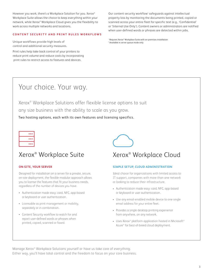However you work, there's a Workplace Solution for you. Xerox® Workplace Suite allows the choice to keep everything within your network, while Xerox® Workplace Cloud gives you the flexibility to work across multiple networks and locations.

### **CONTENT SECURITY AND PRINT RULES WORKFLOWS**

Unique workflows provide high levels of control and additional security measures.

Print rules help take back control of your printers to reduce print volume and reduce costs by incorporating print rules to restrict access to features and devices.

Our content security workflow<sup>1</sup> safeguards against intellectual property loss by monitoring the documents being printed, copied or scanned across your entire fleet for specific text (e.g., 'Confidential' or 'Internal Use Only'). Content owners or administrators are notified when user-defined words or phrases are detected within jobs.

<sup>1</sup> Requires Xerox® Workplace Suite with on-premises installation 2 Available in server queue mode only

# Your choice. Your way.

Xerox® Workplace Solutions offer flexible license options to suit any size business with the ability to scale as you grow.

Two hosting options, each with its own features and licensing specifics.



## Xerox® Workplace Suite Xerox®

### **ON-SITE, YOUR SERVER**

Designed for installation on a server for a private, secure, on-site deployment, the flexible modular approach allows you to license the features that fit your business needs, regardless of the number of devices you have.

- Authentication made easy: card, NFC, app-based or keyboard or user authentication.
- Licensable as print management or mobility, separately or in combination.
- Content Security workflow to watch for and report user-defined words or phrases when printed, copied, scanned or faxed.



### Xerox<sup>®</sup> Workplace Cloud

### **SIMPLE SETUP, CLOUD ADMINISTRATION**

Ideal choice for organizations with limited access to IT support, companies with more than one network or looking to reduce their infrastructure.

- Authentication made easy: card, NFC, app-based or keyboard or user authentication.
- Use any email-enabled mobile device to one single email address for your entire fleet.
- Provides a single desktop printing experience from anywhere, on any network.
- Uses Xerox® platform application hosted in Microsoft® Azure® for best-of-breed cloud deployment.

Manage Xerox® Workplace Solutions yourself or have us take care of everything. Either way, you'll have total control and the freedom to focus on your core business.